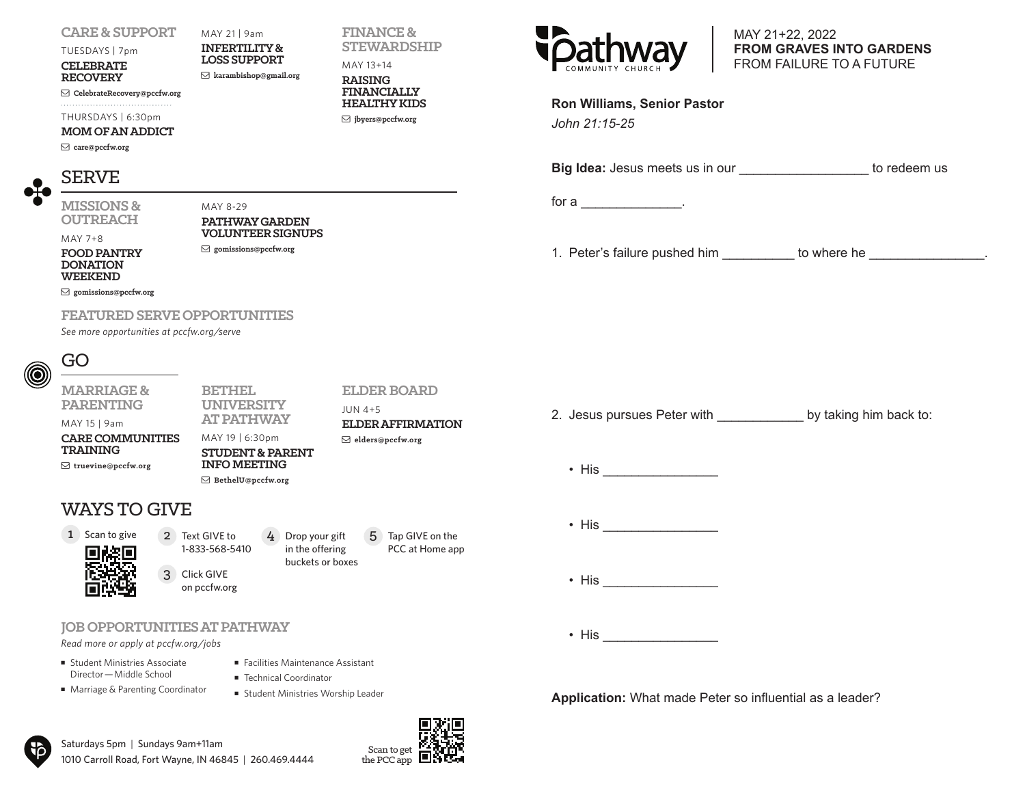#### **CARE & SUPPORT**

MAY 21 | 9am

**INFERTILITY & LOSS SUPPORT**

**karambishop@gmail.org**

**CelebrateRecovery@pccfw.org**

THURSDAYS | 6:30pm

#### **MOM OF AN ADDICT**

**care@pccfw.org**

TUESDAYS | 7pm **CELEBRATE RECOVERY**

## SERVE

MAY 7+8

**MISSIONS & OUTREACH**

MAY 8-29 **PATHWAY GARDEN VOLUNTEER SIGNUPS**

**gomissions@pccfw.org**

**FOOD PANTRY DONATION WEEKEND**

**gomissions@pccfw.org**

#### **FEATURED SERVE OPPORTUNITIES**

*See more opportunities at pccfw.org/serve*

## GO

#### **MARRIAGE & PARENTING**

MAY 15 | 9am

**CARE COMMUNITIES TRAINING**

**truevine@pccfw.org**

#### **UNIVERSITY AT PATHWAY**  MAY 19 | 6:30pm **STUDENT & PARENT INFO MEETING BethelU@pccfw.org** JUN 4+5 **ELDER AFFIRMATION elders@pccfw.org**

**BETHEL** 

## WAYS TO GIVE

# 1 Scan to give



2 Text GIVE to 1-833-568-5410 Click GIVE 3 on pccfw.org 4 Drop your gift in the offering buckets or boxes  $4$  Drop your gift  $5$  Tap GIVE on the

#### **JOB OPPORTUNITIES AT PATHWAY**

*Read more or apply at pccfw.org/jobs*

- **Example 15 Student Ministries Associate** Director—Middle School
- Marriage & Parenting Coordinator
- Technical Coordinator ■ Student Ministries Worship Leader

■ Facilities Maintenance Assistant

Saturdays 5pm | Sundays 9am+11am 1010 Carroll Road, Fort Wayne, IN 46845 | 260.469.4444



PCC at Home app

**ELDER BOARD**

**FINANCE & STEWARDSHIP**

MAY 13+14 **RAISING FINANCIALLY HEALTHY KIDS jbyers@pccfw.org**



MAY 21+22, 2022 **FROM GRAVES INTO GARDENS** FROM FAILURE TO A FUTURE

| <b>Ron Williams, Senior Pastor</b> |  |
|------------------------------------|--|
|                                    |  |

*John 21:15-25*

**Big Idea:** Jesus meets us in our **Example 20 and 10 and 10 and 10 and 10 and 10 and 10 and 10 and 10 and 10 and 10 and 10 and 10 and 10 and 10 and 10 and 10 and 10 and 10 and 10 and 10 and 10 and 10 and 10 and 10 and 10 a** 

for a  $\qquad \qquad \ldots$ 

1. Peter's failure pushed him \_\_\_\_\_\_\_\_\_\_\_\_ to where he

- 2. Jesus pursues Peter with by taking him back to:
	- His  $\overline{\phantom{a}}$
	- His  $\overline{\phantom{a}}$
	- $\bullet$  His  $\bullet$
	- His  $\overline{\phantom{a}}$

**Application:** What made Peter so influential as a leader?